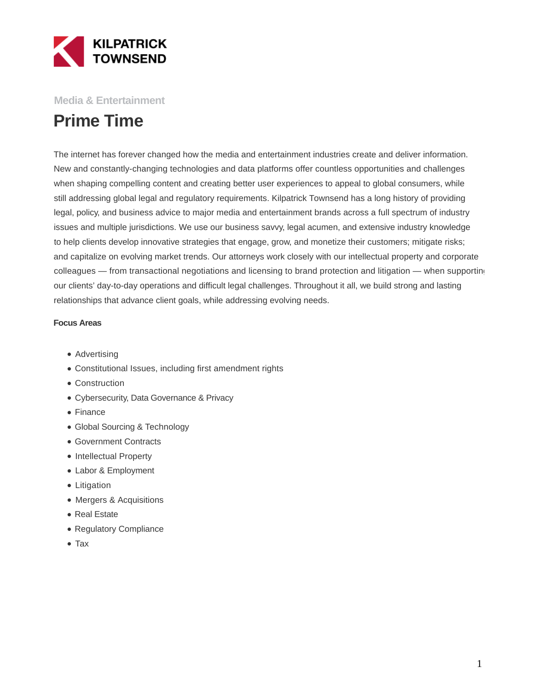

### **Media & Entertainment**

# **Prime Time**

The internet has forever changed how the media and entertainment industries create and deliver information. New and constantly-changing technologies and data platforms offer countless opportunities and challenges when shaping compelling content and creating better user experiences to appeal to global consumers, while still addressing global legal and regulatory requirements. Kilpatrick Townsend has a long history of providing legal, policy, and business advice to major media and entertainment brands across a full spectrum of industry issues and multiple jurisdictions. We use our business savvy, legal acumen, and extensive industry knowledge to help clients develop innovative strategies that engage, grow, and monetize their customers; mitigate risks; and capitalize on evolving market trends. Our attorneys work closely with our intellectual property and corporate colleagues — from transactional negotiations and licensing to brand protection and litigation — when supporting our clients' day-to-day operations and difficult legal challenges. Throughout it all, we build strong and lasting relationships that advance client goals, while addressing evolving needs.

#### **Focus Areas**

- Advertising
- Constitutional Issues, including first amendment rights
- Construction
- Cybersecurity, Data Governance & Privacy
- Finance
- Global Sourcing & Technology
- Government Contracts
- Intellectual Property
- Labor & Employment
- Litigation
- Mergers & Acquisitions
- Real Estate
- Regulatory Compliance
- Tax